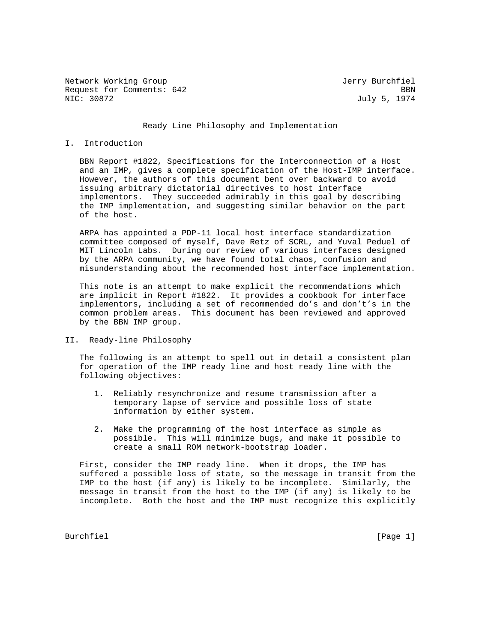Network Working Group Jerry Burchfiel Request for Comments: 642 BBN<br>NIC: 30872 July 5, 1974

July 5, 1974

## Ready Line Philosophy and Implementation

## I. Introduction

 BBN Report #1822, Specifications for the Interconnection of a Host and an IMP, gives a complete specification of the Host-IMP interface. However, the authors of this document bent over backward to avoid issuing arbitrary dictatorial directives to host interface implementors. They succeeded admirably in this goal by describing the IMP implementation, and suggesting similar behavior on the part of the host.

 ARPA has appointed a PDP-11 local host interface standardization committee composed of myself, Dave Retz of SCRL, and Yuval Peduel of MIT Lincoln Labs. During our review of various interfaces designed by the ARPA community, we have found total chaos, confusion and misunderstanding about the recommended host interface implementation.

 This note is an attempt to make explicit the recommendations which are implicit in Report #1822. It provides a cookbook for interface implementors, including a set of recommended do's and don't's in the common problem areas. This document has been reviewed and approved by the BBN IMP group.

II. Ready-line Philosophy

 The following is an attempt to spell out in detail a consistent plan for operation of the IMP ready line and host ready line with the following objectives:

- 1. Reliably resynchronize and resume transmission after a temporary lapse of service and possible loss of state information by either system.
- 2. Make the programming of the host interface as simple as possible. This will minimize bugs, and make it possible to create a small ROM network-bootstrap loader.

 First, consider the IMP ready line. When it drops, the IMP has suffered a possible loss of state, so the message in transit from the IMP to the host (if any) is likely to be incomplete. Similarly, the message in transit from the host to the IMP (if any) is likely to be incomplete. Both the host and the IMP must recognize this explicitly

Burchfiel [Page 1]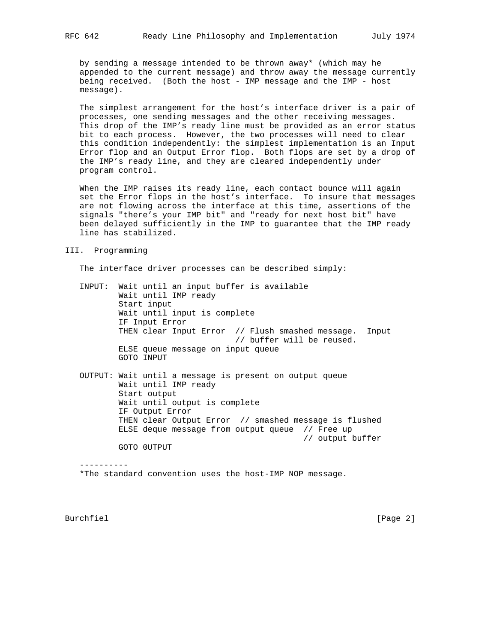by sending a message intended to be thrown away\* (which may he appended to the current message) and throw away the message currently being received. (Both the host - IMP message and the IMP - host message).

 The simplest arrangement for the host's interface driver is a pair of processes, one sending messages and the other receiving messages. This drop of the IMP's ready line must be provided as an error status bit to each process. However, the two processes will need to clear this condition independently: the simplest implementation is an Input Error flop and an Output Error flop. Both flops are set by a drop of the IMP's ready line, and they are cleared independently under program control.

 When the IMP raises its ready line, each contact bounce will again set the Error flops in the host's interface. To insure that messages are not flowing across the interface at this time, assertions of the signals "there's your IMP bit" and "ready for next host bit" have been delayed sufficiently in the IMP to guarantee that the IMP ready line has stabilized.

## III. Programming

The interface driver processes can be described simply:

- INPUT: Wait until an input buffer is available Wait until IMP ready Start input Wait until input is complete IF Input Error THEN clear Input Error // Flush smashed message. Input // buffer will be reused. ELSE queue message on input queue GOTO INPUT
- OUTPUT: Wait until a message is present on output queue Wait until IMP ready Start output Wait until output is complete IF Output Error THEN clear Output Error // smashed message is flushed ELSE deque message from output queue // Free up // output buffer GOTO 0UTPUT

----------

\*The standard convention uses the host-IMP NOP message.

Burchfiel [Page 2]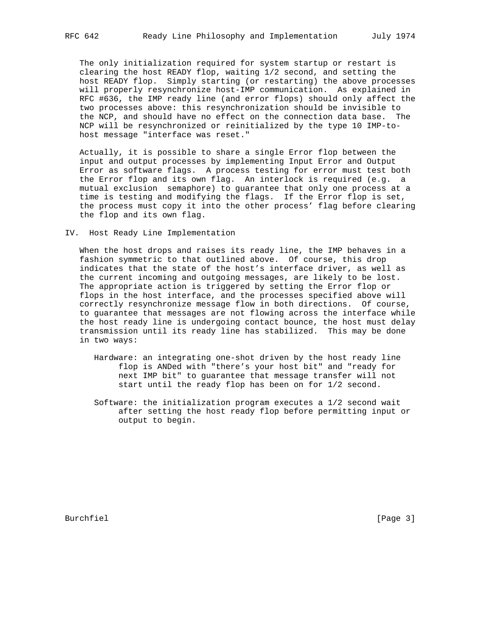The only initialization required for system startup or restart is clearing the host READY flop, waiting 1/2 second, and setting the host READY flop. Simply starting (or restarting) the above processes will properly resynchronize host-IMP communication. As explained in RFC #636, the IMP ready line (and error flops) should only affect the two processes above: this resynchronization should be invisible to the NCP, and should have no effect on the connection data base. The NCP will be resynchronized or reinitialized by the type 10 IMP-to host message "interface was reset."

 Actually, it is possible to share a single Error flop between the input and output processes by implementing Input Error and Output Error as software flags. A process testing for error must test both the Error flop and its own flag. An interlock is required (e.g. a mutual exclusion semaphore) to guarantee that only one process at a time is testing and modifying the flags. If the Error flop is set, the process must copy it into the other process' flag before clearing the flop and its own flag.

IV. Host Ready Line Implementation

 When the host drops and raises its ready line, the IMP behaves in a fashion symmetric to that outlined above. Of course, this drop indicates that the state of the host's interface driver, as well as the current incoming and outgoing messages, are likely to be lost. The appropriate action is triggered by setting the Error flop or flops in the host interface, and the processes specified above will correctly resynchronize message flow in both directions. Of course, to guarantee that messages are not flowing across the interface while the host ready line is undergoing contact bounce, the host must delay transmission until its ready line has stabilized. This may be done in two ways:

- Hardware: an integrating one-shot driven by the host ready line flop is ANDed with "there's your host bit" and "ready for next IMP bit" to guarantee that message transfer will not start until the ready flop has been on for 1/2 second.
- Software: the initialization program executes a 1/2 second wait after setting the host ready flop before permitting input or output to begin.

Burchfiel [Page 3]